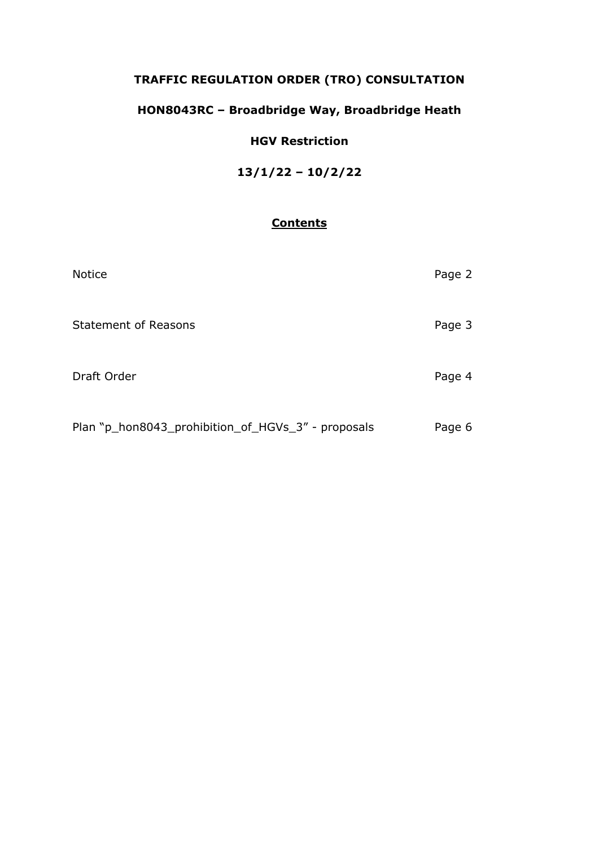## **TRAFFIC REGULATION ORDER (TRO) CONSULTATION**

# **HON8043RC – Broadbridge Way, Broadbridge Heath**

## **HGV Restriction**

**13/1/22 – 10/2/22**

## **Contents**

| <b>Notice</b>                                      | Page 2 |
|----------------------------------------------------|--------|
| <b>Statement of Reasons</b>                        | Page 3 |
| Draft Order                                        | Page 4 |
| Plan "p_hon8043_prohibition_of_HGVs_3" - proposals | Page 6 |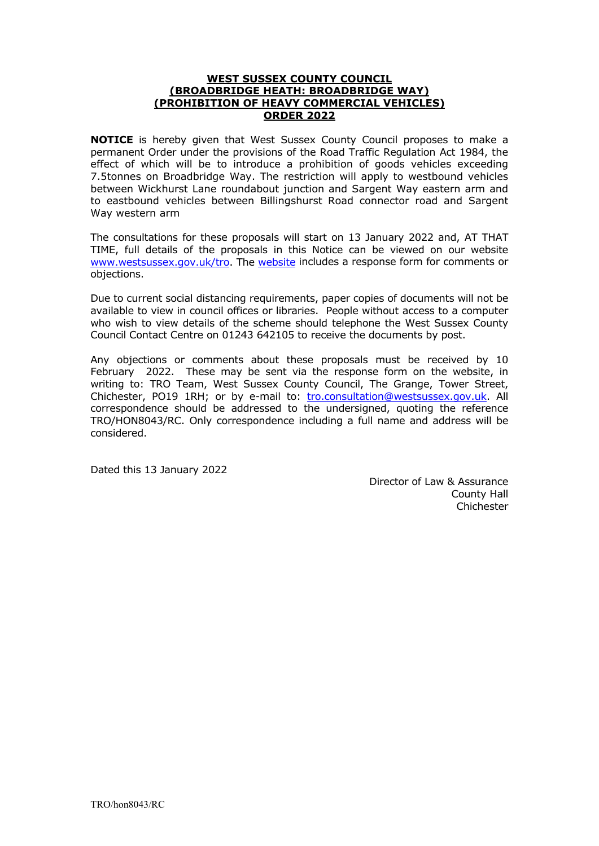#### **WEST SUSSEX COUNTY COUNCIL (BROADBRIDGE HEATH: BROADBRIDGE WAY) (PROHIBITION OF HEAVY COMMERCIAL VEHICLES) ORDER 2022**

**NOTICE** is hereby given that West Sussex County Council proposes to make a permanent Order under the provisions of the Road Traffic Regulation Act 1984, the effect of which will be to introduce a prohibition of goods vehicles exceeding 7.5tonnes on Broadbridge Way. The restriction will apply to westbound vehicles between Wickhurst Lane roundabout junction and Sargent Way eastern arm and to eastbound vehicles between Billingshurst Road connector road and Sargent Way western arm

The consultations for these proposals will start on 13 January 2022 and, AT THAT TIME, full details of the proposals in this Notice can be viewed on our website [www.westsussex.gov.uk/tro.](http://www.westsussex.gov.uk/tro) The [website](https://www.westsussex.gov.uk/roads-and-travel/traffic-regulation-orders/) includes a response form for comments or objections.

Due to current social distancing requirements, paper copies of documents will not be available to view in council offices or libraries. People without access to a computer who wish to view details of the scheme should telephone the West Sussex County Council Contact Centre on 01243 642105 to receive the documents by post.

Any objections or comments about these proposals must be received by 10 February 2022. These may be sent via the response form on the website, in writing to: TRO Team, West Sussex County Council, The Grange, Tower Street, Chichester, PO19 1RH; or by e-mail to: [tro.consultation@westsussex.gov.uk.](mailto:tro.team@westsussex.gov.uk) All correspondence should be addressed to the undersigned, quoting the reference TRO/HON8043/RC. Only correspondence including a full name and address will be considered.

Dated this 13 January 2022

 Director of Law & Assurance County Hall Chichester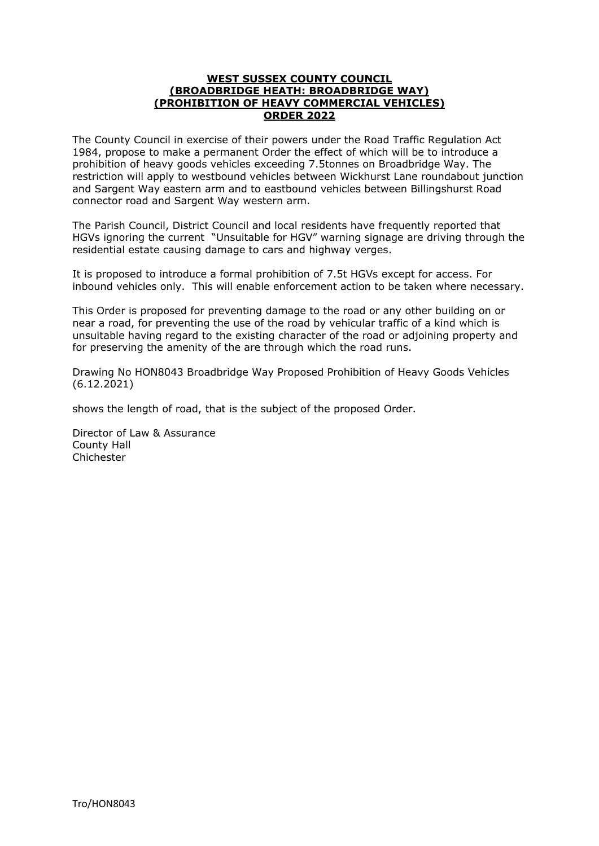#### **WEST SUSSEX COUNTY COUNCIL (BROADBRIDGE HEATH: BROADBRIDGE WAY) (PROHIBITION OF HEAVY COMMERCIAL VEHICLES) ORDER 2022**

The County Council in exercise of their powers under the Road Traffic Regulation Act 1984, propose to make a permanent Order the effect of which will be to introduce a prohibition of heavy goods vehicles exceeding 7.5tonnes on Broadbridge Way. The restriction will apply to westbound vehicles between Wickhurst Lane roundabout junction and Sargent Way eastern arm and to eastbound vehicles between Billingshurst Road connector road and Sargent Way western arm.

The Parish Council, District Council and local residents have frequently reported that HGVs ignoring the current "Unsuitable for HGV" warning signage are driving through the residential estate causing damage to cars and highway verges.

It is proposed to introduce a formal prohibition of 7.5t HGVs except for access. For inbound vehicles only. This will enable enforcement action to be taken where necessary.

This Order is proposed for preventing damage to the road or any other building on or near a road, for preventing the use of the road by vehicular traffic of a kind which is unsuitable having regard to the existing character of the road or adjoining property and for preserving the amenity of the are through which the road runs.

Drawing No HON8043 Broadbridge Way Proposed Prohibition of Heavy Goods Vehicles (6.12.2021)

shows the length of road, that is the subject of the proposed Order.

Director of Law & Assurance County Hall Chichester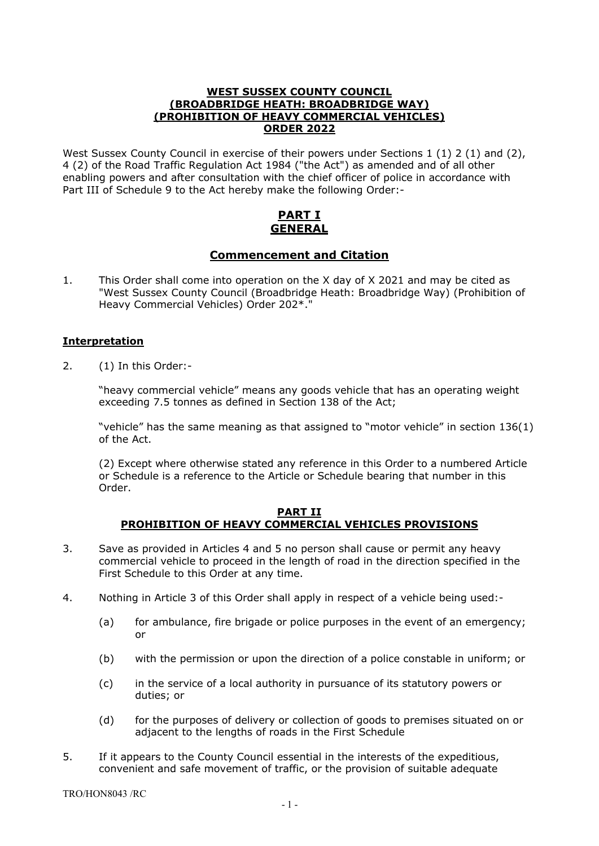#### **WEST SUSSEX COUNTY COUNCIL (BROADBRIDGE HEATH: BROADBRIDGE WAY) (PROHIBITION OF HEAVY COMMERCIAL VEHICLES) ORDER 2022**

West Sussex County Council in exercise of their powers under Sections 1 (1) 2 (1) and (2), 4 (2) of the Road Traffic Regulation Act 1984 ("the Act") as amended and of all other enabling powers and after consultation with the chief officer of police in accordance with Part III of Schedule 9 to the Act hereby make the following Order:-

## **PART I GENERAL**

## **Commencement and Citation**

1. This Order shall come into operation on the X day of X 2021 and may be cited as "West Sussex County Council (Broadbridge Heath: Broadbridge Way) (Prohibition of Heavy Commercial Vehicles) Order 202\*."

## **Interpretation**

2. (1) In this Order:-

"heavy commercial vehicle" means any goods vehicle that has an operating weight exceeding 7.5 tonnes as defined in Section 138 of the Act;

"vehicle" has the same meaning as that assigned to "motor vehicle" in section 136(1) of the Act.

(2) Except where otherwise stated any reference in this Order to a numbered Article or Schedule is a reference to the Article or Schedule bearing that number in this Order.

#### **PART II PROHIBITION OF HEAVY COMMERCIAL VEHICLES PROVISIONS**

- 3. Save as provided in Articles 4 and 5 no person shall cause or permit any heavy commercial vehicle to proceed in the length of road in the direction specified in the First Schedule to this Order at any time.
- 4. Nothing in Article 3 of this Order shall apply in respect of a vehicle being used:-
	- (a) for ambulance, fire brigade or police purposes in the event of an emergency; or
	- (b) with the permission or upon the direction of a police constable in uniform; or
	- (c) in the service of a local authority in pursuance of its statutory powers or duties; or
	- (d) for the purposes of delivery or collection of goods to premises situated on or adjacent to the lengths of roads in the First Schedule
- 5. If it appears to the County Council essential in the interests of the expeditious, convenient and safe movement of traffic, or the provision of suitable adequate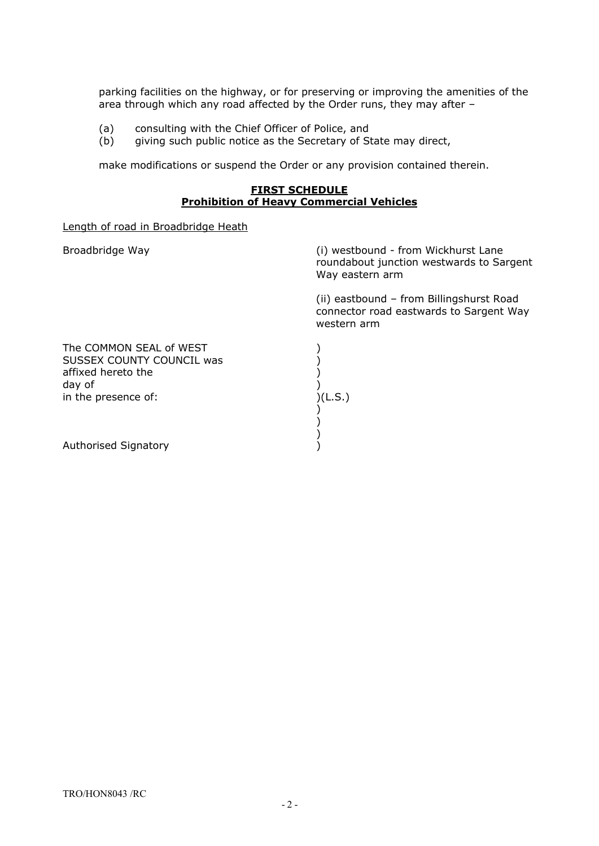parking facilities on the highway, or for preserving or improving the amenities of the area through which any road affected by the Order runs, they may after –

- (a) consulting with the Chief Officer of Police, and<br>(b) giving such public notice as the Secretary of St
- giving such public notice as the Secretary of State may direct,

make modifications or suspend the Order or any provision contained therein.

#### **FIRST SCHEDULE Prohibition of Heavy Commercial Vehicles**

Length of road in Broadbridge Heath

Broadbridge Way **(i)** westbound - from Wickhurst Lane roundabout junction westwards to Sargent Way eastern arm

> (ii) eastbound – from Billingshurst Road connector road eastwards to Sargent Way western arm

| The COMMON SEAL of WEST<br>SUSSEX COUNTY COUNCIL was<br>affixed hereto the<br>day of<br>in the presence of: | (L.S.) |
|-------------------------------------------------------------------------------------------------------------|--------|
| Authorised Signatory                                                                                        |        |